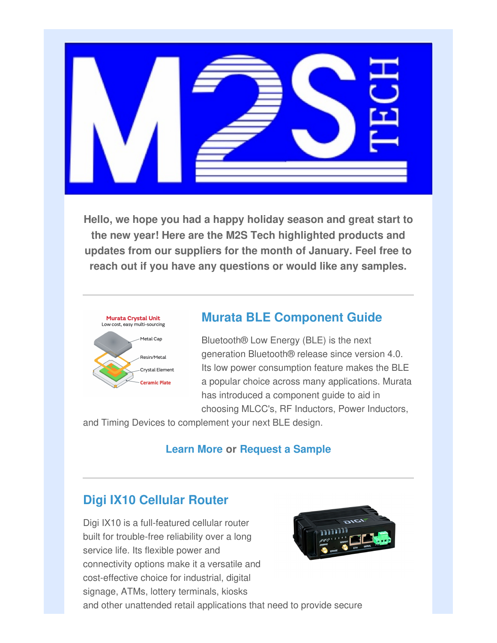

**Hello, we hope you had a happy holiday season and great start to the new year! Here are the M2S Tech highlighted products and updates from our suppliers for the month of January. Feel free to reach out if you have any questions or would like any samples.**



## **Murata BLE Component Guide**

Bluetooth® Low Energy (BLE) is the next generation Bluetooth® release since version 4.0. Its low power consumption feature makes the BLE a popular choice across many applications. Murata has introduced a component guide to aid in choosing MLCC's, RF Inductors, Power Inductors,

and Timing Devices to complement your next BLE design.

## **Learn More or Request a Sample**

## **Digi IX10 Cellular Router**

Digi IX10 is a full-featured cellular router built for trouble-free reliability over a long service life. Its flexible power and connectivity options make it a versatile and cost-effective choice for industrial, digital signage, ATMs, lottery terminals, kiosks and other unattended retail applications that need to provide secure

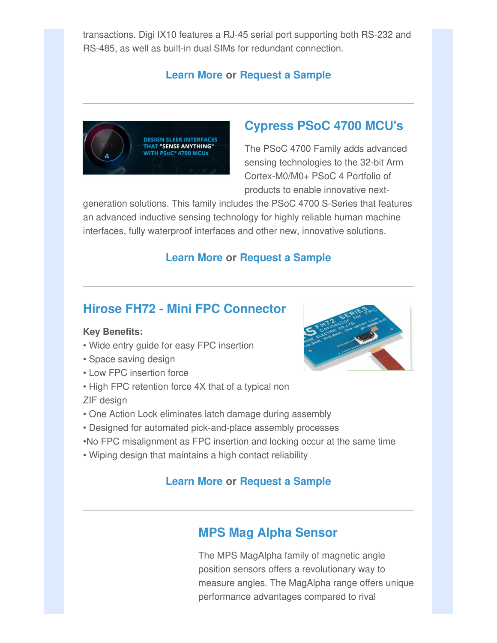transactions. Digi IX10 features a RJ-45 serial port supporting both RS-232 and RS-485, as well as built-in dual SIMs for redundant connection.

## **Learn More or Request a Sample**



## **Cypress PSoC 4700 MCU's**

The PSoC 4700 Family adds advanced sensing technologies to the 32-bit Arm Cortex-M0/M0+ PSoC 4 Portfolio of products to enable innovative next-

generation solutions. This family includes the PSoC 4700 S-Series that features an advanced inductive sensing technology for highly reliable human machine interfaces, fully waterproof interfaces and other new, innovative solutions.

### **Learn More or Request a Sample**

## **Hirose FH72 - Mini FPC Connector**

#### **Key Benefits:**

- Wide entry guide for easy FPC insertion
- Space saving design
- Low FPC insertion force
- High FPC retention force 4X that of a typical non

ZIF design

- One Action Lock eliminates latch damage during assembly
- Designed for automated pick-and-place assembly processes
- •No FPC misalignment as FPC insertion and locking occur at the same time
- Wiping design that maintains a high contact reliability

### **Learn More or Request a Sample**

## **MPS Mag Alpha Sensor**

The MPS MagAlpha family of magnetic angle position sensors offers a revolutionary way to measure angles. The MagAlpha range offers unique performance advantages compared to rival

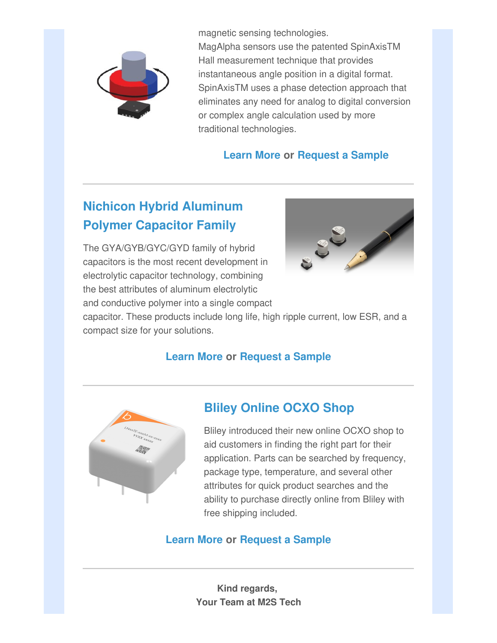

magnetic sensing technologies.

MagAlpha sensors use the patented SpinAxisTM Hall measurement technique that provides instantaneous angle position in a digital format. SpinAxisTM uses a phase detection approach that eliminates any need for analog to digital conversion or complex angle calculation used by more traditional technologies.

## **Learn More or Request a Sample**

# **Nichicon Hybrid Aluminum Polymer Capacitor Family**

The GYA/GYB/GYC/GYD family of hybrid capacitors is the most recent development in electrolytic capacitor technology, combining the best attributes of aluminum electrolytic and conductive polymer into a single compact



capacitor. These products include long life, high ripple current, low ESR, and a compact size for your solutions.

## **Learn More or Request a Sample**



## **Bliley Online OCXO Shop**

Bliley introduced their new online OCXO shop to aid customers in finding the right part for their application. Parts can be searched by frequency, package type, temperature, and several other attributes for quick product searches and the ability to purchase directly online from Bliley with free shipping included.

## **Learn More or Request a Sample**

**Kind regards, Your Team at M2S Tech**